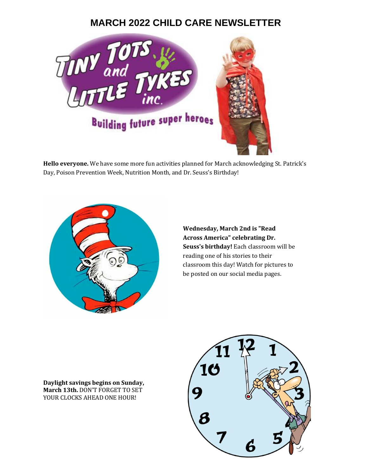## **MARCH 2022 CHILD CARE NEWSLETTER**



**Hello everyone.** We have some more fun activities planned for March acknowledging St. Patrick's Day, Poison Prevention Week, Nutrition Month, and Dr. Seuss's Birthday!



**Wednesday, March 2nd is "Read Across America" celebrating Dr. Seuss's birthday!** Each classroom will be reading one of his stories to their classroom this day! Watch for pictures to be posted on our social media pages.

**Daylight savings begins on Sunday, March 13th.** DON'T FORGET TO SET YOUR CLOCKS AHEAD ONE HOUR!

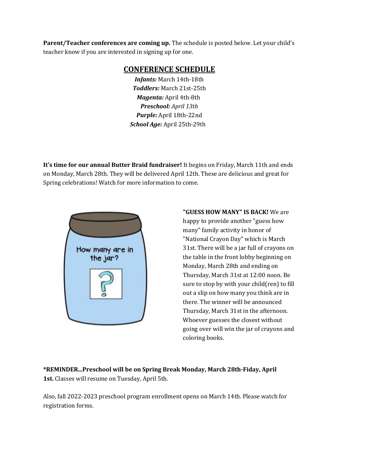**Parent/Teacher conferences are coming up.** The schedule is posted below. Let your child's teacher know if you are interested in signing up for one.

## **CONFERENCE SCHEDULE**

*Infants:* March 14th-18th *Toddlers:* March 21st-25th *Magenta:* April 4th-8th *Preschool: April 13th Purple:* April 18th-22nd *School Age:* April 25th-29th

**It's time for our annual Butter Braid fundraiser!** It begins on Friday, March 11th and ends on Monday, March 28th. They will be delivered April 12th. These are delicious and great for Spring celebrations! Watch for more information to come.



**"GUESS HOW MANY" IS BACK!** We are happy to provide another "guess how many" family activity in honor of "National Crayon Day" which is March 31st. There will be a jar full of crayons on the table in the front lobby beginning on Monday, March 28th and ending on Thursday, March 31st at 12:00 noon. Be sure to stop by with your child(ren) to fill out a slip on how many you think are in there. The winner will be announced Thursday, March 31st in the afternoon. Whoever guesses the closest without going over will win the jar of crayons and coloring books.

**\*REMINDER...Preschool will be on Spring Break Monday, March 28th-Fiday, April 1st.** Classes will resume on Tuesday, April 5th.

Also, fall 2022-2023 preschool program enrollment opens on March 14th. Please watch for registration forms.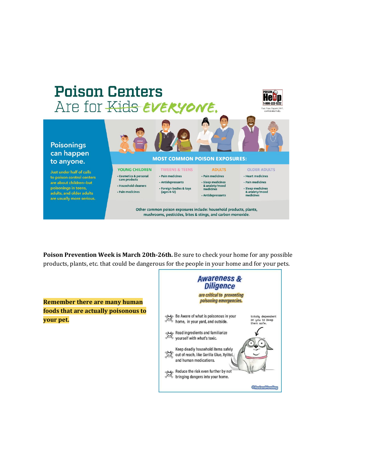

**Poison Prevention Week is March 20th-26th.** Be sure to check your home for any possible products, plants, etc. that could be dangerous for the people in your home and for your pets.

**Diligence** are critical to preventing poisoning emergencies. **Remember there are many human foods that are actually poisonous to** مهجری Be Aware of what is poisonous in your<br>چینچی home, in your yard, and outside. مهجهها<br>ویکی<br>yourself with what's toxic. Keep deadly household items safely out of reach, like Gorilla Glue, Xylitol, and human medications. Reduce the risk even further by not<br>bringing dangers into your home.

**Awareness &** 

totally dependent<br>on you to keep<br>them safe.

**©RedandHowling** 

**your pet.**